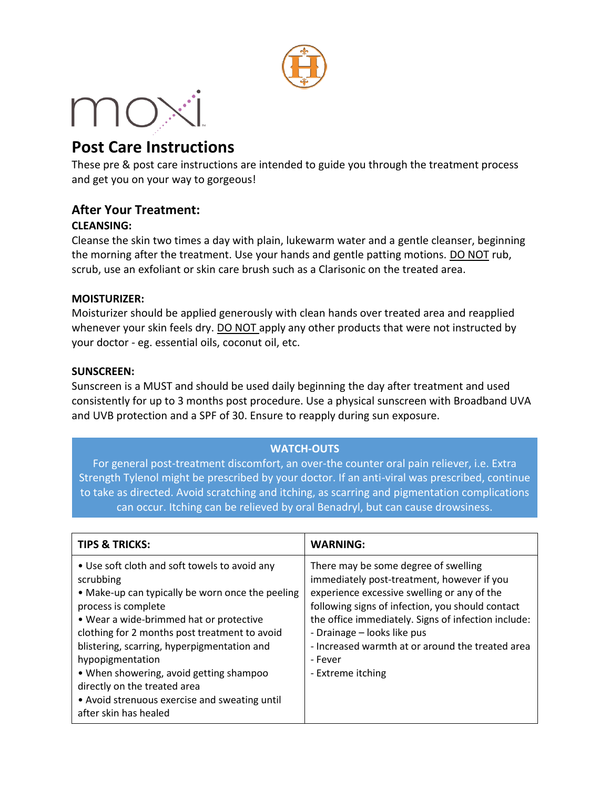



# **Post Care Instructions**

These pre & post care instructions are intended to guide you through the treatment process and get you on your way to gorgeous!

## **After Your Treatment:**

#### **CLEANSING:**

Cleanse the skin two times a day with plain, lukewarm water and a gentle cleanser, beginning the morning after the treatment. Use your hands and gentle patting motions. DO NOT rub, scrub, use an exfoliant or skin care brush such as a Clarisonic on the treated area.

#### **MOISTURIZER:**

Moisturizer should be applied generously with clean hands over treated area and reapplied whenever your skin feels dry. DO NOT apply any other products that were not instructed by your doctor - eg. essential oils, coconut oil, etc.

#### **SUNSCREEN:**

Sunscreen is a MUST and should be used daily beginning the day after treatment and used consistently for up to 3 months post procedure. Use a physical sunscreen with Broadband UVA and UVB protection and a SPF of 30. Ensure to reapply during sun exposure.

### **WATCH-OUTS**

For general post-treatment discomfort, an over-the counter oral pain reliever, i.e. Extra Strength Tylenol might be prescribed by your doctor. If an anti-viral was prescribed, continue to take as directed. Avoid scratching and itching, as scarring and pigmentation complications can occur. Itching can be relieved by oral Benadryl, but can cause drowsiness.

| <b>TIPS &amp; TRICKS:</b>                                                                                                                                                                                                                                                                                                                                                                                                                                 | <b>WARNING:</b>                                                                                                                                                                                                                                                                                                                                                 |
|-----------------------------------------------------------------------------------------------------------------------------------------------------------------------------------------------------------------------------------------------------------------------------------------------------------------------------------------------------------------------------------------------------------------------------------------------------------|-----------------------------------------------------------------------------------------------------------------------------------------------------------------------------------------------------------------------------------------------------------------------------------------------------------------------------------------------------------------|
| • Use soft cloth and soft towels to avoid any<br>scrubbing<br>• Make-up can typically be worn once the peeling<br>process is complete<br>• Wear a wide-brimmed hat or protective<br>clothing for 2 months post treatment to avoid<br>blistering, scarring, hyperpigmentation and<br>hypopigmentation<br>• When showering, avoid getting shampoo<br>directly on the treated area<br>• Avoid strenuous exercise and sweating until<br>after skin has healed | There may be some degree of swelling<br>immediately post-treatment, however if you<br>experience excessive swelling or any of the<br>following signs of infection, you should contact<br>the office immediately. Signs of infection include:<br>- Drainage - looks like pus<br>- Increased warmth at or around the treated area<br>- Fever<br>- Extreme itching |